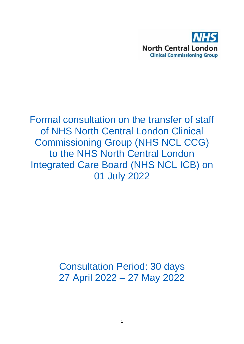

Formal consultation on the transfer of staff of NHS North Central London Clinical Commissioning Group (NHS NCL CCG) to the NHS North Central London Integrated Care Board (NHS NCL ICB) on 01 July 2022

> Consultation Period: 30 days 27 April 2022 – 27 May 2022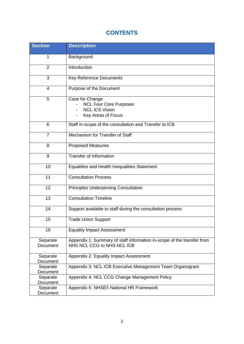# **CONTENTS**

| <b>Section</b>       | <b>Description</b>                                                                                   |
|----------------------|------------------------------------------------------------------------------------------------------|
| 1                    | Background                                                                                           |
| $\overline{2}$       | Introduction                                                                                         |
| 3                    | <b>Key Reference Documents</b>                                                                       |
| $\overline{4}$       | Purpose of the Document                                                                              |
| 5                    | Case for Change<br><b>NCL Four Core Purposes</b>                                                     |
|                      | <b>NCL ICS Vision</b><br>Key Areas of Focus                                                          |
| 6                    | Staff in-scope of the consultation and Transfer to ICB                                               |
| $\overline{7}$       | Mechanism for Transfer of Staff                                                                      |
| 8                    | <b>Proposed Measures</b>                                                                             |
| 9                    | <b>Transfer of Information</b>                                                                       |
| 10                   | Equalities and Health Inequalities Statement                                                         |
| 11                   | <b>Consultation Process</b>                                                                          |
| 12                   | <b>Principles Underpinning Consultation</b>                                                          |
| 13                   | <b>Consultation Timeline</b>                                                                         |
| 14                   | Support available to staff during the consultation process                                           |
| 15                   | <b>Trade Union Support</b>                                                                           |
| 16                   | <b>Equality Impact Assessment</b>                                                                    |
| Separate<br>Document | Appendix 1: Summary of staff information in-scope of the transfer from<br>NHS NCL CCG to NHS NCL ICB |
| Separate<br>Document | Appendix 2: Equality Impact Assessment                                                               |
| Separate<br>Document | Appendix 3: NCL ICB Executive Management Team Organogram                                             |
| Separate<br>Document | Appendix 4: NCL CCG Change Management Policy                                                         |
| Separate<br>Document | Appendix 5: NHSE/I National HR Framework                                                             |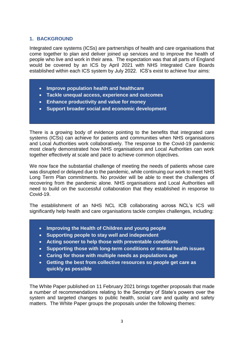#### **1. BACKGROUND**

Integrated care systems (ICSs) are partnerships of health and care organisations that come together to plan and deliver joined up services and to improve the health of people who live and work in their area. The expectation was that all parts of England would be covered by an ICS by April 2021 with NHS Integrated Care Boards established within each ICS system by July 2022. ICS's exist to achieve four aims:

- **Improve population health and healthcare**
- **Tackle unequal access, experience and outcomes**
- **Enhance productivity and value for money**
- **Support broader social and economic development**

There is a growing body of evidence pointing to the benefits that integrated care systems (ICSs) can achieve for patients and communities when NHS organisations and Local Authorities work collaboratively. The response to the Covid-19 pandemic most clearly demonstrated how NHS organisations and Local Authorities can work together effectively at scale and pace to achieve common objectives.

We now face the substantial challenge of meeting the needs of patients whose care was disrupted or delayed due to the pandemic, while continuing our work to meet NHS Long Term Plan commitments. No provider will be able to meet the challenges of recovering from the pandemic alone. NHS organisations and Local Authorities will need to build on the successful collaboration that they established in response to Covid-19.

The establishment of an NHS NCL ICB collaborating across NCL's ICS will significantly help health and care organisations tackle complex challenges, including:

- **Improving the Health of Children and young people**
- **Supporting people to stay well and independent**
- **Acting sooner to help those with preventable conditions**
- **Supporting those with long-term conditions or mental health issues**
- **Caring for those with multiple needs as populations age**
- **Getting the best from collective resources so people get care as quickly as possible**

The White Paper published on 11 February 2021 brings together proposals that made a number of recommendations relating to the Secretary of State's powers over the system and targeted changes to public health, social care and quality and safety matters. The White Paper groups the proposals under the following themes: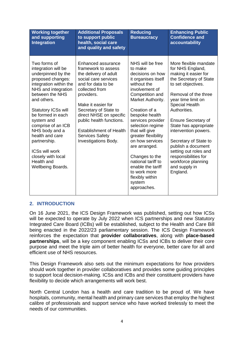| <b>Working together</b><br>and supporting<br>Integration                                                                                                                                                                                                                                                                                                                                               | <b>Additional Proposals</b><br>to support public<br>health, social care<br>and quality and safety                                                                                                                                                                                                                                                 | <b>Reducing</b><br><b>Bureaucracy</b>                                                                                                                                                                                                                                                                                                                                                                                             | <b>Enhancing Public</b><br><b>Confidence and</b><br>accountability                                                                                                                                                                                                                                                                                                                                                                         |
|--------------------------------------------------------------------------------------------------------------------------------------------------------------------------------------------------------------------------------------------------------------------------------------------------------------------------------------------------------------------------------------------------------|---------------------------------------------------------------------------------------------------------------------------------------------------------------------------------------------------------------------------------------------------------------------------------------------------------------------------------------------------|-----------------------------------------------------------------------------------------------------------------------------------------------------------------------------------------------------------------------------------------------------------------------------------------------------------------------------------------------------------------------------------------------------------------------------------|--------------------------------------------------------------------------------------------------------------------------------------------------------------------------------------------------------------------------------------------------------------------------------------------------------------------------------------------------------------------------------------------------------------------------------------------|
| Two forms of<br>integration will be<br>underpinned by the<br>proposed changes:<br>integration within the<br>NHS and integration<br>between the NHS<br>and others.<br><b>Statutory ICSs will</b><br>be formed in each<br>system and<br>comprise of an ICB<br>NHS body and a<br>health and care<br>partnership.<br><b>ICSs will work</b><br>closely with local<br>Health and<br><b>Wellbeing Boards.</b> | Enhanced assurance<br>framework to assess<br>the delivery of adult<br>social care services<br>and for data to be<br>collected from<br>providers.<br>Make it easier for<br>Secretary of State to<br>direct NHSE on specific<br>public health functions.<br><b>Establishment of Health</b><br><b>Services Safety</b><br><b>Investigations Body.</b> | NHS will be free<br>to make<br>decisions on how<br>it organises itself<br>without the<br>involvement of<br>Competition and<br>Market Authority.<br>Creation of a<br>bespoke health<br>services provider<br>selection regime<br>that will give<br>greater flexibility<br>on how services<br>are arranged.<br>Changes to the<br>national tariff to<br>enable the tariff<br>to work more<br>flexibly within<br>system<br>approaches. | More flexible mandate<br>for NHS England,<br>making it easier for<br>the Secretary of State<br>to set objectives.<br>Removal of the three<br>year time limit on<br><b>Special Health</b><br>Authorities.<br><b>Ensure Secretary of</b><br>State has appropriate<br>intervention powers.<br>Secretary of State to<br>publish a document<br>setting out roles and<br>responsibilities for<br>workforce planning<br>and supply in<br>England. |

# **2. INTRODUCTION**

On 16 June 2021, the ICS Design Framework was published, setting out how ICSs will be expected to operate by July 2022 when ICS partnerships and new Statutory Integrated Care Board (ICBs) will be established, subject to the Health and Care Bill being enacted in the 2022/23 parliamentary session. The ICS Design Framework reinforces the expectation that **provider collaboratives**, along with **place-based partnerships**, will be a key component enabling ICSs and ICBs to deliver their core purpose and meet the triple aim of better health for everyone, better care for all and efficient use of NHS resources.

This Design Framework also sets out the minimum expectations for how providers should work together in provider collaboratives and provides some guiding principles to support local decision-making. ICSs and ICBs and their constituent providers have flexibility to decide which arrangements will work best.

North Central London has a health and care tradition to be proud of. We have hospitals, community, mental health and primary care services that employ the highest calibre of professionals and support service who have worked tirelessly to meet the needs of our communities.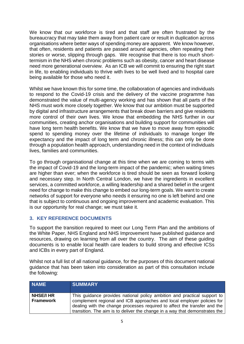We know that our workforce is tired and that staff are often frustrated by the bureaucracy that may take them away from patient care or result in duplication across organisations where better ways of spending money are apparent. We know however, that often, residents and patients are passed around agencies, often repeating their stories or worse, slipping through gaps. We recognise that there is too much shorttermism in the NHS when chronic problems such as obesity, cancer and heart disease need more generational overview. As an ICB we will commit to ensuring the right start in life, to enabling individuals to thrive with lives to be well lived and to hospital care being available for those who need it.

Whilst we have known this for some time, the collaboration of agencies and individuals to respond to the Covid-19 crisis and the delivery of the vaccine programme has demonstrated the value of multi-agency working and has shown that all parts of the NHS must work more closely together. We know that our ambition must be supported by digital and infrastructure arrangements that break down barriers and give residents more control of their own lives. We know that embedding the NHS further in our communities, creating anchor organisations and building support for communities will have long term health benefits. We know that we have to move away from episodic spend to spending money over the lifetime of individuals to manage longer life expectancy and the impact of long term and chronic illness; this can only be done through a population health approach, understanding need in the context of individuals lives, families and communities.

To go through organisational change at this time when we are coming to terms with the impact of Covid-19 and the long-term impact of the pandemic; when waiting times are higher than ever; when the workforce is tired should be seen as forward looking and necessary step. In North Central London, we have the ingredients in excellent services, a committed workforce, a willing leadership and a shared belief in the urgent need for change to make this change to embed our long-term goals. We want to create networks of support for everyone who needs it ensuring no one is left behind and one that is subject to continuous and ongoing improvement and academic evaluation. This is our opportunity for real change; we must take it.

# **3. KEY REFERENCE DOCUMENTS**

To support the transition required to meet our Long Term Plan and the ambitions of the White Paper, NHS England and NHS Improvement have published guidance and resources, drawing on learning from all over the country. The aim of these guiding documents is to enable local health care leaders to build strong and effective ICSs and ICBs in every part of England.

Whilst not a full list of all national guidance, for the purposes of this document national guidance that has been taken into consideration as part of this consultation include the following:

| <b>NAME</b>                          | <b>SUMMARY</b>                                                                                                                                                                                                                                                                                                 |
|--------------------------------------|----------------------------------------------------------------------------------------------------------------------------------------------------------------------------------------------------------------------------------------------------------------------------------------------------------------|
| <b>NHSE/I HR</b><br><b>Framework</b> | This guidance provides national policy ambition and practical support to<br>complement regional and ICB approaches and local employer policies for<br>dealing with the change processes required to affect the transfer and the<br>transition. The aim is to deliver the change in a way that demonstrates the |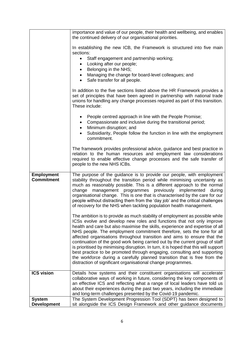|                                        | importance and value of our people, their health and wellbeing, and enables<br>the continued delivery of our organisational priorities.                                                                                                                                                                                                                                                                                                                                                                                                                                                                                                                                                                                                                                                        |
|----------------------------------------|------------------------------------------------------------------------------------------------------------------------------------------------------------------------------------------------------------------------------------------------------------------------------------------------------------------------------------------------------------------------------------------------------------------------------------------------------------------------------------------------------------------------------------------------------------------------------------------------------------------------------------------------------------------------------------------------------------------------------------------------------------------------------------------------|
|                                        | In establishing the new ICB, the Framework is structured into five main<br>sections:                                                                                                                                                                                                                                                                                                                                                                                                                                                                                                                                                                                                                                                                                                           |
|                                        | Staff engagement and partnership working;<br>$\bullet$<br>Looking after our people;<br>$\bullet$                                                                                                                                                                                                                                                                                                                                                                                                                                                                                                                                                                                                                                                                                               |
|                                        | Belonging in the NHS;<br>$\bullet$                                                                                                                                                                                                                                                                                                                                                                                                                                                                                                                                                                                                                                                                                                                                                             |
|                                        | Managing the change for board-level colleagues; and<br>Safe transfer for all people.                                                                                                                                                                                                                                                                                                                                                                                                                                                                                                                                                                                                                                                                                                           |
|                                        | In addition to the five sections listed above the HR Framework provides a<br>set of principles that have been agreed in partnership with national trade<br>unions for handling any change processes required as part of this transition.<br>These include:                                                                                                                                                                                                                                                                                                                                                                                                                                                                                                                                     |
|                                        | People centred approach in line with the People Promise;<br>٠<br>Compassionate and inclusive during the transitional period;<br>$\bullet$                                                                                                                                                                                                                                                                                                                                                                                                                                                                                                                                                                                                                                                      |
|                                        | Minimum disruption; and<br>$\bullet$<br>Subsidiarity, People follow the function in line with the employment<br>commitment.                                                                                                                                                                                                                                                                                                                                                                                                                                                                                                                                                                                                                                                                    |
|                                        | The framework provides professional advice, guidance and best practice in<br>relation to the human resources and employment law considerations<br>required to enable effective change processes and the safe transfer of<br>people to the new NHS ICBs.                                                                                                                                                                                                                                                                                                                                                                                                                                                                                                                                        |
| <b>Employment</b><br><b>Commitment</b> | The purpose of the guidance is to provide our people, with employment<br>stability throughout the transition period while minimising uncertainty as<br>much as reasonably possible. This is a different approach to the normal<br>programmes previously implemented<br>change<br>management<br>during<br>organisational change. This is one that is characterised by the care for our<br>people without distracting them from the 'day job' and the critical challenges<br>of recovery for the NHS when tackling population health management.                                                                                                                                                                                                                                                 |
|                                        | The ambition is to provide as much stability of employment as possible while<br>ICSs evolve and develop new roles and functions that not only improve<br>health and care but also maximise the skills, experience and expertise of all<br>NHS people. The employment commitment therefore, sets the tone for all<br>affected organisations throughout transition and aims to ensure that the<br>continuation of the good work being carried out by the current group of staff<br>is prioritised by minimising disruption. In turn, it is hoped that this will support<br>best practice to be promoted through engaging, consulting and supporting<br>the workforce during a carefully planned transition that is free from the<br>distraction of significant organisational change programmes. |
| <b>ICS vision</b>                      | Details how systems and their constituent organisations will accelerate<br>collaborative ways of working in future, considering the key components of<br>an effective ICS and reflecting what a range of local leaders have told us                                                                                                                                                                                                                                                                                                                                                                                                                                                                                                                                                            |
|                                        | about their experiences during the past two years, including the immediate<br>and long-term challenges presented by the Covid-19 pandemic.                                                                                                                                                                                                                                                                                                                                                                                                                                                                                                                                                                                                                                                     |
| <b>System</b>                          | The System Development Progression Tool (SDPT) has been designed to                                                                                                                                                                                                                                                                                                                                                                                                                                                                                                                                                                                                                                                                                                                            |
| <b>Development</b>                     | sit alongside the ICS Design Framework and other guidance documents                                                                                                                                                                                                                                                                                                                                                                                                                                                                                                                                                                                                                                                                                                                            |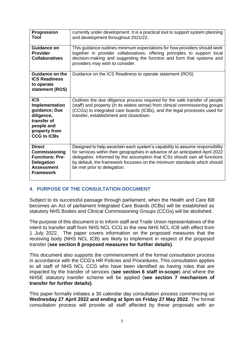| Progression<br>Tool                                                                                                             | currently under development. It is a practical tool to support system planning<br>and development throughout 2021/22.                                                                                                                                                                                                                                 |
|---------------------------------------------------------------------------------------------------------------------------------|-------------------------------------------------------------------------------------------------------------------------------------------------------------------------------------------------------------------------------------------------------------------------------------------------------------------------------------------------------|
| <b>Guidance on</b><br><b>Provider</b><br><b>Collaboratives</b>                                                                  | This guidance outlines minimum expectations for how providers should work<br>together in provider collaboratives, offering principles to support local<br>decision-making and suggesting the function and form that systems and<br>providers may wish to consider.                                                                                    |
| Guidance on the<br><b>ICS Readiness</b><br>to operate<br>statement (ROS)                                                        | Guidance on the ICS Readiness to operate statement (ROS)                                                                                                                                                                                                                                                                                              |
| <b>ICS</b><br>Implementation<br>guidance; Due<br>diligence,<br>transfer of<br>people and<br>property from<br><b>CCG to ICBs</b> | Outlines the due diligence process required for the safe transfer of people<br>(staff) and property (in its widest sense) from clinical commissioning groups<br>(CCGs) to integrated care boards (ICBs), and the legal processes used for<br>transfer, establishment and closedown.                                                                   |
| <b>Direct</b><br>Commissioning<br><b>Functions: Pre-</b><br><b>Delegation</b><br><b>Assessment</b><br><b>Framework</b>          | Designed to help ascertain each system's capability to assume responsibility<br>for services within their geographies in advance of an anticipated April 2022<br>delegation. Informed by the assumption that ICSs should own all functions<br>by default, the framework focusses on the minimum standards which should<br>be met prior to delegation. |

# **4. PURPOSE OF THE CONSULTATION DOCUMENT**

Subject to its successful passage through parliament, when the Health and Care Bill becomes an Act of parliament Integrated Care Boards (ICBs) will be established as statutory NHS Bodies and Clinical Commissioning Groups (CCGs) will be abolished.

The purpose of this document is to inform staff and Trade Union representatives of the intent to transfer staff from NHS NCL CCG to the new NHS NCL ICB with effect from 1 July 2022. The paper covers information on the proposed measures that the receiving body (NHS NCL ICB) are likely to implement in respect of the proposed transfer (**see section 8 proposed measures for further details)**.

This document also supports the commencement of the formal consultation process in accordance with the CCG's HR Policies and Procedures. This consultation applies to all staff of NHS NCL CCG who have been identified as having roles that are impacted by the transfer of services (**see section 6 staff in-scope**) and where the NHSE statutory transfer scheme will be applied (**see section 7 mechanism of transfer for further details)**.

This paper formally initiates a 30 calendar day consultation process commencing on **Wednesday 27 April 2022 and ending at 5pm on Friday 27 May 2022**. The formal consultation process will provide all staff affected by these proposals with an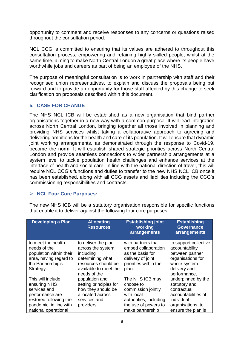opportunity to comment and receive responses to any concerns or questions raised throughout the consultation period.

NCL CCG is committed to ensuring that its values are adhered to throughout this consultation process, empowering and retaining highly skilled people, whilst at the same time, aiming to make North Central London a great place where its people have worthwhile jobs and careers as part of being an employee of the NHS.

The purpose of meaningful consultation is to work in partnership with staff and their recognised union representatives, to explain and discuss the proposals being put forward and to provide an opportunity for those staff affected by this change to seek clarification on proposals described within this document.

# **5. CASE FOR CHANGE**

The NHS NCL ICB will be established as a new organisation that bind partner organisations together in a new way with a common purpose. It will lead integration across North Central London, bringing together all those involved in planning and providing NHS services whilst taking a collaborative approach to agreeing and delivering ambitions for the health and care of its population. It will ensure that dynamic joint working arrangements, as demonstrated through the response to Covid-19, become the norm. It will establish shared strategic priorities across North Central London and provide seamless connections to wider partnership arrangements at a system level to tackle population health challenges and enhance services at the interface of health and social care. In line with the national direction of travel, this will require NCL CCG's functions and duties to transfer to the new NHS NCL ICB once it has been established, along with all CCG assets and liabilities including the CCG's commissioning responsibilities and contracts.

# **NCL Four Core Purposes:**

The new NHS ICB will be a statutory organisation responsible for specific functions that enable it to deliver against the following four core purposes:

| <b>Developing a Plan</b> | <b>Allocating</b><br><b>Resources</b> | <b>Establishing joint</b><br>working | <b>Establishing</b><br><b>Governance</b> |
|--------------------------|---------------------------------------|--------------------------------------|------------------------------------------|
|                          |                                       | arrangements                         | arrangements                             |
| to meet the health       | to deliver the plan                   | with partners that                   | to support collective                    |
| needs of the             | across the system,                    | embed collaboration                  | accountability                           |
| population within their  | including                             | as the basis for                     | between partner                          |
| area, having regard to   | determining what                      | delivery of joint                    | organisations for                        |
| the Partnership's        | resources should be                   | priorities within the                | whole-system                             |
| Strategy.                | available to meet the                 | plan.                                | delivery and                             |
|                          | needs of the                          |                                      | performance,                             |
| This will include        | population and                        | The NHS ICB may                      | underpinned by the                       |
| ensuring NHS             | setting principles for                | choose to                            | statutory and                            |
| services and             | how they should be                    | commission jointly                   | contractual                              |
| performance are          | allocated across                      | with local                           | accountabilities of                      |
| restored following the   | services and                          | authorities, including               | individual                               |
| pandemic, in line with   | providers.                            | the use of powers to                 | organisations, to                        |
| national operational     |                                       | make partnership                     | ensure the plan is                       |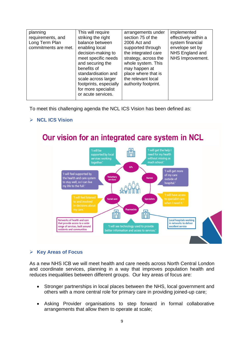| planning                                                    | This will require                                                                                                                                     | arrangements under                                                                                                               | implemented                                                                    |
|-------------------------------------------------------------|-------------------------------------------------------------------------------------------------------------------------------------------------------|----------------------------------------------------------------------------------------------------------------------------------|--------------------------------------------------------------------------------|
| requirements, and<br>Long Term Plan<br>commitments are met. | striking the right<br>balance between<br>enabling local<br>decision-making to                                                                         | section 75 of the<br>2006 Act and<br>supported through<br>the integrated care                                                    | effectively within a<br>system financial<br>envelope set by<br>NHS England and |
|                                                             | meet specific needs<br>and securing the<br>benefits of<br>standardisation and<br>scale across larger<br>footprints, especially<br>for more specialist | strategy, across the<br>whole system. This<br>may happen at<br>place where that is<br>the relevant local<br>authority footprint. | NHS Improvement.                                                               |
|                                                             | or acute services.                                                                                                                                    |                                                                                                                                  |                                                                                |

To meet this challenging agenda the NCL ICS Vision has been defined as:

# **NCL ICS Vision**

#### Our vision for an integrated care system in NCL 'I will be m I will get the help I supported by local need for my health without missing as services working together.' much school.' **GPs** 'I will get more 'I will feel supported by of my care<br>outside of the health and care system *Joluntary*<br>services to stay well, so I can live hospital.' my life to the full.' **Social care Specialists** h n<sup>o</sup> Networks of health and care **Local hospitals working** that provide access to a wide in networks to deliver 'I will see technology used to provide range of services, built around excellent service residents and communities

# **Key Areas of Focus**

As a new NHS ICB we will meet health and care needs across North Central London and coordinate services, planning in a way that improves population health and reduces inequalities between different groups. Our key areas of focus are:

- Stronger partnerships in local places between the NHS, local government and others with a more central role for primary care in providing joined-up care;
- Asking Provider organisations to step forward in formal collaborative arrangements that allow them to operate at scale;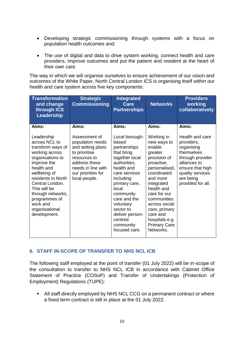- Developing strategic commissioning through systems with a focus on population health outcomes and;
- The use of digital and data to drive system working, connect health and care providers, improve outcomes and put the patient and resident at the heart of their own care.

The way in which we will organise ourselves to ensure achievement of our vision and outcomes of the White Paper, North Central London ICS is organising itself within our health and care system across five key components:

| <b>Transformation</b><br>and change<br>through ICS<br>Leadership                                                                                                                                                                                                                 | <b>Strategic</b><br><b>Commissioning</b>                                                                                                                              | <b>Integrated</b><br>Care<br><b>Partnerships</b>                                                                                                                                                                                                                                 | <b>Networks</b>                                                                                                                                                                                                                                                                         | <b>Providers</b><br>working<br>collaboratively                                                                                                                          |
|----------------------------------------------------------------------------------------------------------------------------------------------------------------------------------------------------------------------------------------------------------------------------------|-----------------------------------------------------------------------------------------------------------------------------------------------------------------------|----------------------------------------------------------------------------------------------------------------------------------------------------------------------------------------------------------------------------------------------------------------------------------|-----------------------------------------------------------------------------------------------------------------------------------------------------------------------------------------------------------------------------------------------------------------------------------------|-------------------------------------------------------------------------------------------------------------------------------------------------------------------------|
| Aims:                                                                                                                                                                                                                                                                            | Aims:                                                                                                                                                                 | Aims:                                                                                                                                                                                                                                                                            | Aims:                                                                                                                                                                                                                                                                                   | Aims:                                                                                                                                                                   |
| Leadership<br>across NCL to<br>transform ways of<br>working across<br>organisations to<br>improve the<br>health and<br>wellbeing of<br>residents in North<br>Central London.<br>This will be<br>through networks,<br>programmes of<br>work and<br>organisational<br>development. | Assessment of<br>population needs<br>and setting plans<br>to prioritise<br>resources to<br>address these<br>needs in line with<br>our priorities for<br>local people. | Local borough-<br>based<br>partnerships<br>that bring<br>together local<br>authorities,<br>health and<br>care services<br>including<br>primary care,<br>local<br>community<br>care and the<br>voluntary<br>sector to<br>deliver person-<br>centred<br>community<br>focused care. | Working in<br>new ways to<br>enable<br>greater<br>provision of<br>proactive,<br>personalised,<br>coordinated<br>and more<br>integrated<br>health and<br>care for our<br>communities<br>across social<br>care, primary<br>care and<br>hospitals e.g.<br><b>Primary Care</b><br>Networks. | Health and care<br>providers,<br>organising<br>themselves<br>through provider<br>alliances to<br>ensure that high<br>quality services<br>are being<br>provided for all. |

# **6. STAFF IN-SCOPE OF TRANSFER TO NHS NCL ICB**

The following staff employed at the point of transfer (01 July 2022) will be in-scope of the consultation to transfer to NHS NCL ICB in accordance with Cabinet Office Statement of Practice (COSoP) and Transfer of Undertakings (Protection of Employment) Regulations (TUPE):

 All staff directly employed by NHS NCL CCG on a permanent contract or where a fixed term contract is still in place at the 01 July 2022.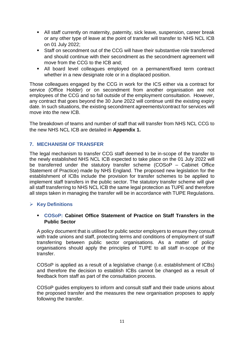- All staff currently on maternity, paternity, sick leave, suspension, career break or any other type of leave at the point of transfer will transfer to NHS NCL ICB on 01 July 2022;
- Staff on secondment out of the CCG will have their substantive role transferred and should continue with their secondment as the secondment agreement will move from the CCG to the ICB and;
- All board level colleagues employed on a permanent/fixed term contract whether in a new designate role or in a displaced position.

Those colleagues engaged by the CCG in work for the ICS either via a contract for service (Office Holder) or on secondment from another organisation are not employees of the CCG and so fall outside of the employment consultation. However, any contract that goes beyond the 30 June 2022 will continue until the existing expiry date. In such situations, the existing secondment agreements/contract for services will move into the new ICB.

The breakdown of teams and number of staff that will transfer from NHS NCL CCG to the new NHS NCL ICB are detailed in **Appendix 1.**

# **7. MECHANISM OF TRANSFER**

The legal mechanism to transfer CCG staff deemed to be in-scope of the transfer to the newly established NHS NCL ICB expected to take place on the 01 July 2022 will be transferred under the statutory transfer scheme (COSoP – Cabinet Office Statement of Practice) made by NHS England. The proposed new legislation for the establishment of ICBs include the provision for transfer schemes to be applied to implement staff transfers in the public sector. The statutory transfer scheme will give all staff transferring to NHS NCL ICB the same legal protection as TUPE and therefore all steps taken in managing the transfer will be in accordance with TUPE Regulations.

#### **Key Definitions**

#### **COSoP: Cabinet Office Statement of Practice on Staff Transfers in the Public Sector**

A policy document that is utilised for public sector employers to ensure they consult with trade unions and staff, protecting terms and conditions of employment of staff transferring between public sector organisations. As a matter of policy organisations should apply the principles of TUPE to all staff in-scope of the transfer.

COSoP is applied as a result of a legislative change (i.e. establishment of ICBs) and therefore the decision to establish ICBs cannot be changed as a result of feedback from staff as part of the consultation process.

COSoP guides employers to inform and consult staff and their trade unions about the proposed transfer and the measures the new organisation proposes to apply following the transfer.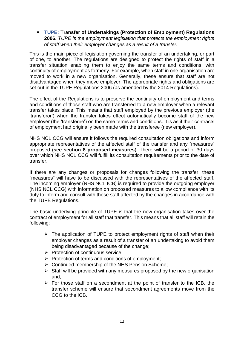**TUPE: Transfer of Undertakings (Protection of Employment) Regulations 2006.** *TUPE is the employment legislation that protects the employment rights of staff when their employer changes as a result of a transfer.* 

This is the main piece of legislation governing the transfer of an undertaking, or part of one, to another. The regulations are designed to protect the rights of staff in a transfer situation enabling them to enjoy the same terms and conditions, with continuity of employment as formerly. For example, when staff in one organisation are moved to work in a new organisation. Generally, these ensure that staff are not disadvantaged when they move employer. The appropriate rights and obligations are set out in the TUPE Regulations 2006 (as amended by the 2014 Regulations).

The effect of the Regulations is to preserve the continuity of employment and terms and conditions of those staff who are transferred to a new employer when a relevant transfer takes place. This means that staff employed by the previous employer (the 'transferor') when the transfer takes effect automatically become staff of the new employer (the 'transferee') on the same terms and conditions. It is as if their contracts of employment had originally been made with the transferee (new employer).

NHS NCL CCG will ensure it follows the required consultation obligations and inform appropriate representatives of the affected staff of the transfer and any "measures" proposed (**see section 8 proposed measures**). There will be a period of 30 days over which NHS NCL CCG will fulfill its consultation requirements prior to the date of transfer.

If there are any changes or proposals for changes following the transfer, these "measures" will have to be discussed with the representatives of the affected staff. The incoming employer (NHS NCL ICB) is required to provide the outgoing employer (NHS NCL CCG) with information on proposed measures to allow compliance with its duty to inform and consult with those staff affected by the changes in accordance with the TUPE Regulations.

The basic underlying principle of TUPE is that the new organisation takes over the contract of employment for all staff that transfer. This means that all staff will retain the following:

- $\triangleright$  The application of TUPE to protect employment rights of staff when their employer changes as a result of a transfer of an undertaking to avoid them being disadvantaged because of the change;
- $\triangleright$  Protection of continuous service;
- $\triangleright$  Protection of terms and conditions of employment;
- Continued membership of the NHS Pension Scheme;
- $\triangleright$  Staff will be provided with any measures proposed by the new organisation and;
- $\triangleright$  For those staff on a secondment at the point of transfer to the ICB, the transfer scheme will ensure that secondment agreements move from the CCG to the ICB.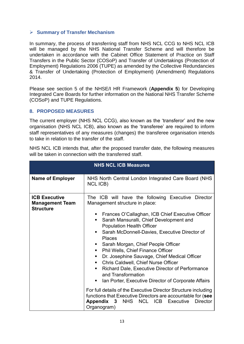# **Summary of Transfer Mechanism**

In summary, the process of transferring staff from NHS NCL CCG to NHS NCL ICB will be managed by the NHS National Transfer Scheme and will therefore be undertaken in accordance with the Cabinet Office Statement of Practice on Staff Transfers in the Public Sector (COSoP) and Transfer of Undertakings (Protection of Employment) Regulations 2006 (TUPE) as amended by the Collective Redundancies & Transfer of Undertaking (Protection of Employment) (Amendment) Regulations 2014.

Please see section 5 of the NHSE/I HR Framework (**Appendix 5**) for Developing Integrated Care Boards for further information on the National NHS Transfer Scheme (COSoP) and TUPE Regulations.

#### **8. PROPOSED MEASURES**

The current employer (NHS NCL CCG), also known as the 'transferor' and the new organisation (NHS NCL ICB), also known as the 'transferee' are required to inform staff representatives of any measures (changes) the transferee organisation intends to take in relation to the transfer of the staff.

NHS NCL ICB intends that, after the proposed transfer date, the following measures will be taken in connection with the transferred staff.

|                                                                    | <b>NHS NCL ICB Measures</b>                                                                                                                                                                                                                                                                                                                                                                                                                                                                                                                                                                                                                                                                                                                                                                                                                                        |
|--------------------------------------------------------------------|--------------------------------------------------------------------------------------------------------------------------------------------------------------------------------------------------------------------------------------------------------------------------------------------------------------------------------------------------------------------------------------------------------------------------------------------------------------------------------------------------------------------------------------------------------------------------------------------------------------------------------------------------------------------------------------------------------------------------------------------------------------------------------------------------------------------------------------------------------------------|
| <b>Name of Employer</b>                                            | NHS North Central London Integrated Care Board (NHS<br>NCL ICB)                                                                                                                                                                                                                                                                                                                                                                                                                                                                                                                                                                                                                                                                                                                                                                                                    |
| <b>ICB Executive</b><br><b>Management Team</b><br><b>Structure</b> | The ICB will have the following Executive Director<br>Management structure in place:<br>Frances O'Callaghan, ICB Chief Executive Officer<br>Sarah Mansuralli, Chief Development and<br>٠<br><b>Population Health Officer</b><br>Sarah McDonnell-Davies, Executive Director of<br>٠<br><b>Places</b><br>Sarah Morgan, Chief People Officer<br>п<br>Phil Wells, Chief Finance Officer<br>п<br>Dr. Josephine Sauvage, Chief Medical Officer<br>п<br><b>Chris Caldwell, Chief Nurse Officer</b><br>п,<br>Richard Dale, Executive Director of Performance<br>٠<br>and Transformation<br>Ian Porter, Executive Director of Corporate Affairs<br>п<br>For full details of the Executive Director Structure including<br>functions that Executive Directors are accountable for (see<br>NCL ICB<br>Executive<br><b>Director</b><br>Appendix 3<br><b>NHS</b><br>Organogram) |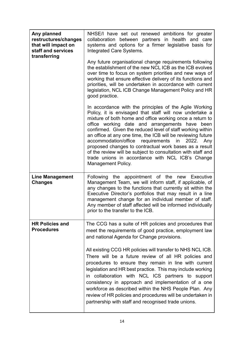| Any planned<br>restructures/changes<br>that will impact on<br>staff and services<br>transferring | NHSE/I have set out renewed ambitions for greater<br>collaboration between partners in health and care<br>systems and options for a firmer legislative basis for<br>Integrated Care Systems.                                                                                                                                                                                                                                                                                                                                                                                                                                    |  |  |
|--------------------------------------------------------------------------------------------------|---------------------------------------------------------------------------------------------------------------------------------------------------------------------------------------------------------------------------------------------------------------------------------------------------------------------------------------------------------------------------------------------------------------------------------------------------------------------------------------------------------------------------------------------------------------------------------------------------------------------------------|--|--|
|                                                                                                  | Any future organisational change requirements following<br>the establishment of the new NCL ICB as the ICB evolves<br>over time to focus on system priorities and new ways of<br>working that ensure effective delivery of its functions and<br>priorities, will be undertaken in accordance with current<br>legislation, NCL ICB Change Management Policy and HR<br>good practice.                                                                                                                                                                                                                                             |  |  |
|                                                                                                  | In accordance with the principles of the Agile Working<br>Policy, it is envisaged that staff will now undertake a<br>mixture of both home and office working once a return to<br>office working date and arrangements have been<br>confirmed. Given the reduced level of staff working within<br>an office at any one time, the ICB will be reviewing future<br>accommodation/office<br>requirements in<br>2022. Any<br>proposed changes to contractual work bases as a result<br>of the review will be subject to consultation with staff and<br>trade unions in accordance with NCL ICB's Change<br><b>Management Policy.</b> |  |  |
| <b>Line Management</b><br><b>Changes</b>                                                         | Following the appointment of the new Executive<br>Management Team, we will inform staff, if applicable, of<br>any changes to the functions that currently sit within the<br>Executive Director's portfolios that may result in a line<br>management change for an individual member of staff.<br>Any member of staff affected will be informed individually<br>prior to the transfer to the ICB.                                                                                                                                                                                                                                |  |  |
| <b>HR Policies and</b><br><b>Procedures</b>                                                      | The CCG has a suite of HR policies and procedures that<br>meet the requirements of good practice, employment law<br>and national Agenda for Change provisions.                                                                                                                                                                                                                                                                                                                                                                                                                                                                  |  |  |
|                                                                                                  | All existing CCG HR policies will transfer to NHS NCL ICB.<br>There will be a future review of all HR policies and<br>procedures to ensure they remain in line with current<br>legislation and HR best practice. This may include working<br>in collaboration with NCL ICS partners to support<br>consistency in approach and implementation of a one<br>workforce as described within the NHS People Plan. Any<br>review of HR policies and procedures will be undertaken in<br>partnership with staff and recognised trade unions.                                                                                            |  |  |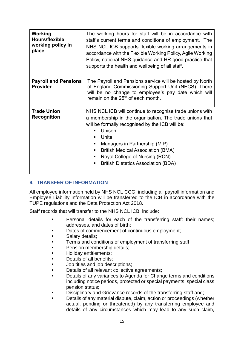| Working<br><b>Hours/flexible</b><br>working policy in<br>place | The working hours for staff will be in accordance with<br>staff's current terms and conditions of employment. The<br>NHS NCL ICB supports flexible working arrangements in<br>accordance with the Flexible Working Policy, Agile Working<br>Policy, national NHS guidance and HR good practice that<br>supports the health and wellbeing of all staff.                               |
|----------------------------------------------------------------|--------------------------------------------------------------------------------------------------------------------------------------------------------------------------------------------------------------------------------------------------------------------------------------------------------------------------------------------------------------------------------------|
| <b>Payroll and Pensions</b><br><b>Provider</b>                 | The Payroll and Pensions service will be hosted by North<br>of England Commissioning Support Unit (NECS). There<br>will be no change to employee's pay date which will<br>remain on the 25 <sup>th</sup> of each month.                                                                                                                                                              |
| <b>Trade Union</b><br><b>Recognition</b>                       | NHS NCL ICB will continue to recognise trade unions with<br>a membership in the organisation. The trade unions that<br>will be formally recognised by the ICB will be:<br>Unison<br>٠<br>Unite<br>٠<br>Managers in Partnership (MiP)<br>٠<br><b>British Medical Association (BMA)</b><br>ш<br>Royal College of Nursing (RCN)<br>ш<br><b>British Dietetics Association (BDA)</b><br>٠ |

# **9. TRANSFER OF INFORMATION**

All employee information held by NHS NCL CCG, including all payroll information and Employee Liability Information will be transferred to the ICB in accordance with the TUPE regulations and the Data Protection Act 2018.

Staff records that will transfer to the NHS NCL ICB, include:

- **Personal details for each of the transferring staff: their names;** addresses, and dates of birth;
- Dates of commencement of continuous employment;
- **Salary details;**
- **Terms and conditions of employment of transferring staff**
- **Pension membership details;**
- **Holiday entitlements:**
- **Details of all benefits;**
- **Job titles and job descriptions;**
- **Details of all relevant collective agreements;**
- Details of any variances to Agenda for Change terms and conditions including notice periods, protected or special payments, special class pension status;
- Disciplinary and Grievance records of the transferring staff and;
- Details of any material dispute, claim, action or proceedings (whether actual, pending or threatened) by any transferring employee and details of any circumstances which may lead to any such claim,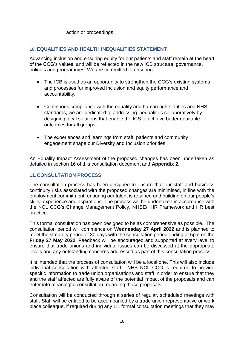action or proceedings.

#### **10. EQUALITIES AND HEALTH INEQUALITIES STATEMENT**

Advancing inclusion and ensuring equity for our patients and staff remain at the heart of the CCG's values, and will be reflected in the new ICB structure, governance, policies and programmes. We are committed to ensuring:

- The ICB is used as an opportunity to strengthen the CCG's existing systems and processes for improved inclusion and equity performance and accountability.
- Continuous compliance with the equality and human rights duties and NHS standards, we are dedicated to addressing inequalities collaboratively by designing local solutions that enable the ICS to achieve better equitable outcomes for all groups.
- The experiences and learnings from staff, patients and community engagement shape our Diversity and Inclusion priorities.

An Equality Impact Assessment of the proposed changes has been undertaken as detailed in section 16 of this consultation document and **Appendix 2.** 

# **11.CONSULTATION PROCESS**

The consultation process has been designed to ensure that our staff and business continuity risks associated with the proposed changes are minimised, in line with the employment commitment, ensuring our talent is retained and building on our people's skills, experience and aspirations. The process will be undertaken in accordance with the NCL CCG's Change Management Policy, NHSE/I HR Framework and HR best practice.

This formal consultation has been designed to be as comprehensive as possible. The consultation period will commence on **Wednesday 27 April 2022** and is planned to meet the statutory period of 30 days with the consultation period ending at 5pm on the **Friday 27 May 2022**. Feedback will be encouraged and supported at every level to ensure that trade unions and individual issues can be discussed at the appropriate levels and any outstanding concerns addressed as part of this consultation process.

It is intended that the process of consultation will be a local one. This will also include individual consultation with affected staff. NHS NCL CCG is required to provide specific information to trade union organisations and staff in order to ensure that they and the staff affected are fully aware of the potential impact of the proposals and can enter into meaningful consultation regarding those proposals.

Consultation will be conducted through a series of regular, scheduled meetings with staff. Staff will be entitled to be accompanied by a trade union representative or work place colleague, if required during any 1:1 formal consultation meetings that they may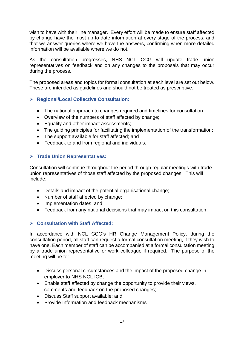wish to have with their line manager. Every effort will be made to ensure staff affected by change have the most up-to-date information at every stage of the process, and that we answer queries where we have the answers, confirming when more detailed information will be available where we do not.

As the consultation progresses, NHS NCL CCG will update trade union representatives on feedback and on any changes to the proposals that may occur during the process.

The proposed areas and topics for formal consultation at each level are set out below. These are intended as guidelines and should not be treated as prescriptive.

# **Regional/Local Collective Consultation:**

- The national approach to changes required and timelines for consultation:
- Overview of the numbers of staff affected by change;
- **Equality and other impact assessments:**
- The guiding principles for facilitating the implementation of the transformation;
- The support available for staff affected; and
- Feedback to and from regional and individuals.

# **Trade Union Representatives:**

Consultation will continue throughout the period through regular meetings with trade union representatives of those staff affected by the proposed changes. This will include:

- Details and impact of the potential organisational change;
- Number of staff affected by change;
- Implementation dates; and
- Feedback from any national decisions that may impact on this consultation.

# **Consultation with Staff Affected:**

In accordance with NCL CCG's HR Change Management Policy, during the consultation period, all staff can request a formal consultation meeting, if they wish to have one. Each member of staff can be accompanied at a formal consultation meeting by a trade union representative or work colleague if required. The purpose of the meeting will be to:

- Discuss personal circumstances and the impact of the proposed change in employer to NHS NCL ICB;
- Enable staff affected by change the opportunity to provide their views, comments and feedback on the proposed changes;
- Discuss Staff support available; and
- Provide Information and feedback mechanisms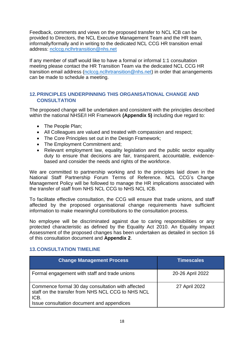Feedback, comments and views on the proposed transfer to NCL ICB can be provided to Directors, the NCL Executive Management Team and the HR team, informally/formally and in writing to the dedicated NCL CCG HR transition email address: [nclccg.nclhrtransition@nhs.net](mailto:nclccg.nclhrtransition@nhs.net)

If any member of staff would like to have a formal or informal 1:1 consultation meeting please contact the HR Transition Team via the dedicated NCL CCG HR transition email address [\(nclccg.nclhrtransition@nhs.net\)](mailto:nclccg.nclhrtransition@nhs.net) in order that arrangements can be made to schedule a meeting.

# **12.PRINCIPLES UNDERPINNING THIS ORGANISATIONAL CHANGE AND CONSULTATION**

The proposed change will be undertaken and consistent with the principles described within the national NHSE/I HR Framework **(Appendix 5)** including due regard to:

- The People Plan;
- All Colleagues are valued and treated with compassion and respect;
- The Core Principles set out in the Design Framework;
- The Employment Commitment and:
- Relevant employment law, equality legislation and the public sector equality duty to ensure that decisions are fair, transparent, accountable, evidencebased and consider the needs and rights of the workforce.

We are committed to partnership working and to the principles laid down in the National Staff Partnership Forum Terms of Reference. NCL CCG's Change Management Policy will be followed to manage the HR implications associated with the transfer of staff from NHS NCL CCG to NHS NCL ICB.

To facilitate effective consultation, the CCG will ensure that trade unions, and staff affected by the proposed organisational change requirements have sufficient information to make meaningful contributions to the consultation process.

No employee will be discriminated against due to caring responsibilities or any protected characteristic as defined by the Equality Act 2010. An Equality Impact Assessment of the proposed changes has been undertaken as detailed in section 16 of this consultation document and **Appendix 2**.

#### **13.CONSULTATION TIMELINE**

| <b>Change Management Process</b>                                                                                                                             | <b>Timescales</b> |
|--------------------------------------------------------------------------------------------------------------------------------------------------------------|-------------------|
| Formal engagement with staff and trade unions                                                                                                                | 20-26 April 2022  |
| Commence formal 30 day consultation with affected<br>staff on the transfer from NHS NCL CCG to NHS NCL<br>ICB.<br>Issue consultation document and appendices | 27 April 2022     |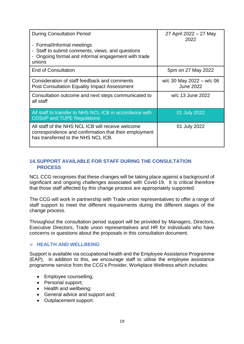| <b>During Consultation Period</b>                                                                                                                 | 27 April 2022 – 27 May<br>2022                   |
|---------------------------------------------------------------------------------------------------------------------------------------------------|--------------------------------------------------|
| - Formal/Informal meetings<br>- Staff to submit comments, views, and questions<br>Ongoing formal and informal engagement with trade<br>unions     |                                                  |
| <b>End of Consultation</b>                                                                                                                        | 5pm on 27 May 2022                               |
| Consideration of staff feedback and comments<br><b>Post Consultation Equality Impact Assessment</b>                                               | $w/c$ 30 May 2022 – $w/c$ 06<br><b>June 2022</b> |
| Consultation outcome and next steps communicated to<br>all staff                                                                                  | w/c 13 June 2022                                 |
| All staff to transfer to NHS NCL ICB in accordance with<br><b>COSoP and TUPE Regulations</b>                                                      | 01 July 2022                                     |
| All staff of the NHS NCL ICB will receive welcome<br>correspondence and confirmation that their employment<br>has transferred to the NHS NCL ICB. | 01 July 2022                                     |

# **14.SUPPORT AVAILABLE FOR STAFF DURING THE CONSULTATION PROCESS**

NCL CCG recognises that these changes will be taking place against a background of significant and ongoing challenges associated with Covid-19. It is critical therefore that those staff affected by this change process are appropriately supported.

The CCG will work in partnership with Trade union representatives to offer a range of staff support to meet the different requirements during the different stages of the change process.

Throughout the consultation period support will be provided by Managers, Directors, Executive Directors, Trade union representatives and HR for individuals who have concerns or questions about the proposals in this consultation document.

# **HEALTH AND WELLBEING**

Support is available via occupational health and the Employee Assistance Programme (EAP). In addition to this, we encourage staff to utilise the employee assistance programme service from the CCG's Provider, Workplace Wellness which includes:

- Employee counselling;
- Personal support;
- Health and wellbeing;
- General advice and support and;
- Outplacement support.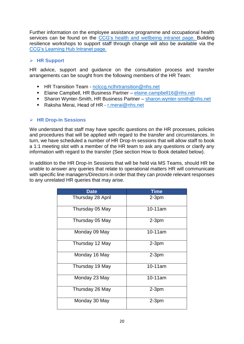Further information on the employee assistance programme and occupational health services can be found on the [CCG's health and](https://intranet.northcentrallondonccg.nhs.uk/wellbeing-support/) wellbeing intranet page. Building resilience workshops to support staff through change will also be available via the [CCG's Learning Hub Intranet page.](https://intranet.northcentrallondonccg.nhs.uk/hr-od/learning-hub/)

# **HR Support**

HR advice, support and guidance on the consultation process and transfer arrangements can be sought from the following members of the HR Team:

- HR Transition Team [nclccg.nclhrtransition@nhs.net](mailto:nclccg.nclhrtransition@nhs.net)
- Elaine Campbell, HR Business Partner [elaine.campbell16@nhs.net](mailto:elaine.campbell16@nhs.net)
- Sharon Wynter-Smith, HR Business Partner [sharon.wynter-smith@nhs.net](mailto:sharon.wynter-smith@nhs.net)
- Raksha Merai, Head of HR [r.merai@nhs.net](mailto:r.merai@nhs.net)

# **HR Drop-In Sessions**

We understand that staff may have specific questions on the HR processes, policies and procedures that will be applied with regard to the transfer and circumstances. In turn, we have scheduled a number of HR Drop-In sessions that will allow staff to book a 1:1 meeting slot with a member of the HR team to ask any questions or clarify any information with regard to the transfer (See section How to Book detailed below).

In addition to the HR Drop-In Sessions that will be held via MS Teams, should HR be unable to answer any queries that relate to operational matters HR will communicate with specific line managers/Directors in order that they can provide relevant responses to any unrelated HR queries that may arise.

| <b>Date</b>       | <b>Time</b> |
|-------------------|-------------|
| Thursday 28 April | $2-3pm$     |
| Thursday 05 May   | $10-11$ am  |
| Thursday 05 May   | $2-3pm$     |
| Monday 09 May     | 10-11am     |
| Thursday 12 May   | $2-3pm$     |
| Monday 16 May     | $2-3pm$     |
| Thursday 19 May   | $10-11am$   |
| Monday 23 May     | 10-11am     |
| Thursday 26 May   | $2-3pm$     |
| Monday 30 May     | $2-3pm$     |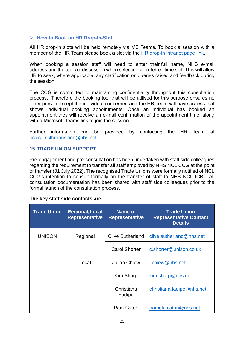#### **How to Book an HR Drop-In-Slot**

All HR drop-in slots will be held remotely via MS Teams. To book a session with a member of the HR Team please book a slot via the [HR drop-in intranet page link.](https://intranet.northcentrallondonccg.nhs.uk/hr-drop-in-sessions/)

When booking a session staff will need to enter their full name, NHS e-mail address and the topic of discussion when selecting a preferred time slot. This will allow HR to seek, where applicable, any clarification on queries raised and feedback during the session.

The CCG is committed to maintaining confidentiality throughout this consultation process. Therefore the booking tool that will be utilised for this purpose ensures no other person except the individual concerned and the HR Team will have access that shows individual booking appointments. Once an individual has booked an appointment they will receive an e-mail confirmation of the appointment time, along with a Microsoft Teams link to join the session.

Further information can be provided by contacting the HR Team at [nclccg.nclhrtransition@nhs.net](mailto:nclccg.nclhrtransition@nhs.net)

#### **15.TRADE UNION SUPPORT**

Pre-engagement and pre-consultation has been undertaken with staff side colleagues regarding the requirement to transfer all staff employed by NHS NCL CCG at the point of transfer (01 July 2022). The recognised Trade Unions were formally notified of NCL CCG's intention to consult formally on the transfer of staff to NHS NCL ICB. All consultation documentation has been shared with staff side colleagues prior to the formal launch of the consultation process.

#### **The key staff side contacts are:**

| <b>Trade Union</b> | <b>Regional/Local</b><br><b>Representative</b> | Name of<br><b>Representative</b> | <b>Trade Union</b><br><b>Representative Contact</b><br><b>Details</b> |
|--------------------|------------------------------------------------|----------------------------------|-----------------------------------------------------------------------|
| <b>UNISON</b>      | Regional                                       | <b>Clive Sutherland</b>          | clive.sutherland@nhs.net                                              |
|                    |                                                | <b>Carol Shorter</b>             | c.shorter@unison.co.uk                                                |
|                    | Local                                          | <b>Julian Chiew</b>              | j.chiew@nhs.net                                                       |
|                    |                                                | <b>Kim Sharp</b>                 | kim.sharp@nhs.net                                                     |
|                    |                                                | Christiana<br>Fadipe             | christiana.fadipe@nhs.net                                             |
|                    |                                                | Pam Caton                        | pamela.caton@nhs.net                                                  |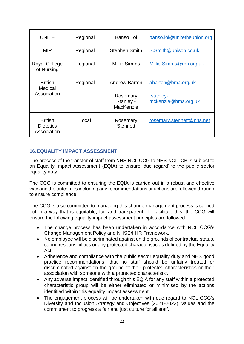| <b>UNITE</b>                                      | Regional | Banso Loi                          | banso.loi@unitetheunion.org      |
|---------------------------------------------------|----------|------------------------------------|----------------------------------|
| <b>MIP</b>                                        | Regional | <b>Stephen Smith</b>               | S.Smith@unison.co.uk             |
| <b>Royal College</b><br>of Nursing                | Regional | Millie Simms                       | Millie.Simms@rcn.org.uk          |
| <b>British</b><br>Medical<br>Association          | Regional | <b>Andrew Barton</b>               | abarton@bma.org.uk               |
|                                                   |          | Rosemary<br>Stanley -<br>MacKenzie | rstanley-<br>mckenzie@bma.org.uk |
| <b>British</b><br><b>Dietetics</b><br>Association | Local    | Rosemary<br><b>Stennett</b>        | rosemary.stennett@nhs.net        |

# **16.EQUALITY IMPACT ASSESSMENT**

The process of the transfer of staff from NHS NCL CCG to NHS NCL ICB is subject to an Equality Impact Assessment (EQIA) to ensure 'due regard' to the public sector equality duty.

The CCG is committed to ensuring the EQIA is carried out in a robust and effective way and the outcomes including any recommendations or actions are followed through to ensure compliance.

The CCG is also committed to managing this change management process is carried out in a way that is equitable, fair and transparent. To facilitate this, the CCG will ensure the following equality impact assessment principles are followed:

- The change process has been undertaken in accordance with NCL CCG's Change Management Policy and NHSE/I HR Framework.
- No employee will be discriminated against on the grounds of contractual status, caring responsibilities or any protected characteristic as defined by the Equality Act.
- Adherence and compliance with the public sector equality duty and NHS good practice recommendations; that no staff should be unfairly treated or discriminated against on the ground of their protected characteristics or their association with someone with a protected characteristic.
- Any adverse impact identified through this EQIA for any staff within a protected characteristic group will be either eliminated or minimised by the actions identified within this equality impact assessment.
- The engagement process will be undertaken with due regard to NCL CCG's Diversity and Inclusion Strategy and Objectives (2021-2023), values and the commitment to progress a fair and just culture for all staff.